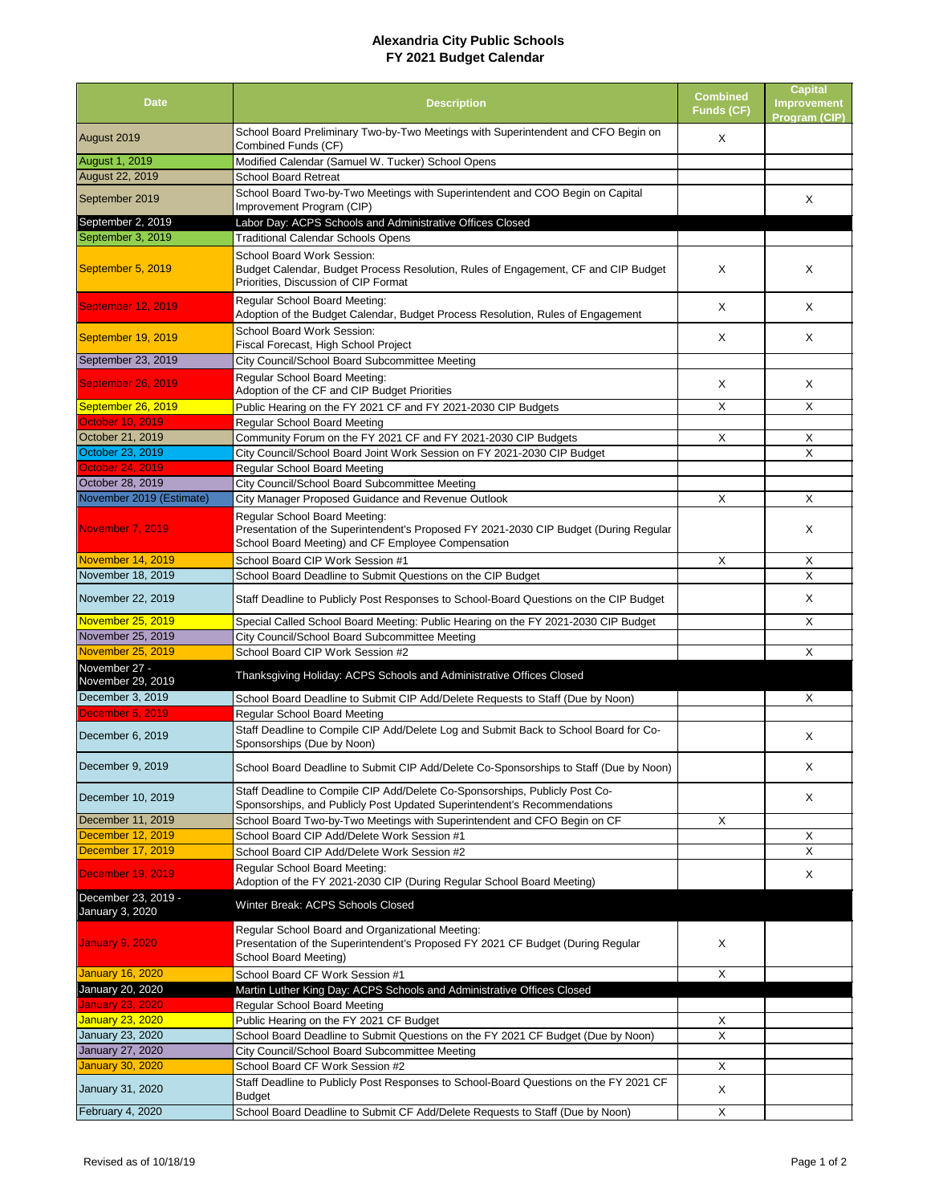## **Alexandria City Public Schools FY 2021 Budget Calendar**

| <b>Date</b>                            | <b>Description</b>                                                                                                                                                           | <b>Combined</b><br><b>Funds (CF)</b> | <b>Capital</b><br>Improvement<br>Program (CIP) |
|----------------------------------------|------------------------------------------------------------------------------------------------------------------------------------------------------------------------------|--------------------------------------|------------------------------------------------|
| August 2019                            | School Board Preliminary Two-by-Two Meetings with Superintendent and CFO Begin on<br>Combined Funds (CF)                                                                     | X                                    |                                                |
| <b>August 1, 2019</b>                  | Modified Calendar (Samuel W. Tucker) School Opens                                                                                                                            |                                      |                                                |
| August 22, 2019                        | <b>School Board Retreat</b>                                                                                                                                                  |                                      |                                                |
| September 2019                         | School Board Two-by-Two Meetings with Superintendent and COO Begin on Capital<br>Improvement Program (CIP)                                                                   |                                      | X                                              |
| September 2, 2019                      | Labor Day: ACPS Schools and Administrative Offices Closed                                                                                                                    |                                      |                                                |
| September 3, 2019                      | <b>Traditional Calendar Schools Opens</b>                                                                                                                                    |                                      |                                                |
| September 5, 2019                      | School Board Work Session:<br>Budget Calendar, Budget Process Resolution, Rules of Engagement, CF and CIP Budget<br>Priorities, Discussion of CIP Format                     | X                                    | X                                              |
| <b>September 12, 2019</b>              | Regular School Board Meeting:<br>Adoption of the Budget Calendar, Budget Process Resolution, Rules of Engagement                                                             | X                                    | X                                              |
| September 19, 2019                     | School Board Work Session:<br>Fiscal Forecast, High School Project                                                                                                           | X                                    | X                                              |
| September 23, 2019                     | City Council/School Board Subcommittee Meeting                                                                                                                               |                                      |                                                |
| September 26, 2019                     | Regular School Board Meeting:<br>Adoption of the CF and CIP Budget Priorities                                                                                                | X                                    | X                                              |
| September 26, 2019                     | Public Hearing on the FY 2021 CF and FY 2021-2030 CIP Budgets                                                                                                                | X                                    | X                                              |
| October 10, 2019                       | Regular School Board Meeting                                                                                                                                                 |                                      |                                                |
| October 21, 2019                       | Community Forum on the FY 2021 CF and FY 2021-2030 CIP Budgets                                                                                                               | X                                    | Х                                              |
| October 23, 2019                       | City Council/School Board Joint Work Session on FY 2021-2030 CIP Budget                                                                                                      |                                      | X                                              |
| <b>October 24, 2019</b>                | Regular School Board Meeting                                                                                                                                                 |                                      |                                                |
| October 28, 2019                       | City Council/School Board Subcommittee Meeting                                                                                                                               |                                      |                                                |
| November 2019 (Estimate)               | City Manager Proposed Guidance and Revenue Outlook                                                                                                                           | X                                    | X                                              |
| November 7, 2019                       | Regular School Board Meeting:<br>Presentation of the Superintendent's Proposed FY 2021-2030 CIP Budget (During Regular<br>School Board Meeting) and CF Employee Compensation |                                      | X                                              |
| <b>November 14, 2019</b>               | School Board CIP Work Session #1                                                                                                                                             | X                                    | X                                              |
| November 18, 2019                      | School Board Deadline to Submit Questions on the CIP Budget                                                                                                                  |                                      | X                                              |
| November 22, 2019                      | Staff Deadline to Publicly Post Responses to School-Board Questions on the CIP Budget                                                                                        |                                      | X                                              |
| November 25, 2019                      | Special Called School Board Meeting: Public Hearing on the FY 2021-2030 CIP Budget                                                                                           |                                      | X                                              |
| November 25, 2019                      | City Council/School Board Subcommittee Meeting                                                                                                                               |                                      |                                                |
| <b>November 25, 2019</b>               | School Board CIP Work Session #2                                                                                                                                             |                                      | X                                              |
| November 27 -<br>November 29, 2019     | Thanksgiving Holiday: ACPS Schools and Administrative Offices Closed                                                                                                         |                                      |                                                |
| December 3, 2019<br>December 5, 2019   | School Board Deadline to Submit CIP Add/Delete Requests to Staff (Due by Noon)<br>Regular School Board Meeting                                                               |                                      | X                                              |
| December 6, 2019                       | Staff Deadline to Compile CIP Add/Delete Log and Submit Back to School Board for Co-<br>Sponsorships (Due by Noon)                                                           |                                      | X                                              |
| December 9, 2019                       | School Board Deadline to Submit CIP Add/Delete Co-Sponsorships to Staff (Due by Noon)                                                                                        |                                      | X                                              |
| December 10, 2019                      | Staff Deadline to Compile CIP Add/Delete Co-Sponsorships, Publicly Post Co-<br>Sponsorships, and Publicly Post Updated Superintendent's Recommendations                      |                                      | X                                              |
| December 11, 2019                      | School Board Two-by-Two Meetings with Superintendent and CFO Begin on CF                                                                                                     | X                                    |                                                |
| December 12, 2019                      | School Board CIP Add/Delete Work Session #1                                                                                                                                  |                                      | Х                                              |
| December 17, 2019                      | School Board CIP Add/Delete Work Session #2                                                                                                                                  |                                      | X                                              |
| <b>December 19, 2019</b>               | Regular School Board Meeting:<br>Adoption of the FY 2021-2030 CIP (During Regular School Board Meeting)                                                                      |                                      | Х                                              |
| December 23, 2019 -<br>January 3, 2020 | Winter Break: ACPS Schools Closed                                                                                                                                            |                                      |                                                |
| <b>January 9, 2020</b>                 | Regular School Board and Organizational Meeting:<br>Presentation of the Superintendent's Proposed FY 2021 CF Budget (During Regular<br>School Board Meeting)                 | X                                    |                                                |
| <b>January 16, 2020</b>                | School Board CF Work Session #1                                                                                                                                              | X                                    |                                                |
| January 20, 2020                       | Martin Luther King Day: ACPS Schools and Administrative Offices Closed                                                                                                       |                                      |                                                |
| <b>January 23, 2020</b>                | Regular School Board Meeting                                                                                                                                                 |                                      |                                                |
| January 23, 2020                       | Public Hearing on the FY 2021 CF Budget                                                                                                                                      | X                                    |                                                |
| January 23, 2020                       | School Board Deadline to Submit Questions on the FY 2021 CF Budget (Due by Noon)                                                                                             | X                                    |                                                |
| January 27, 2020                       | City Council/School Board Subcommittee Meeting                                                                                                                               |                                      |                                                |
| <b>January 30, 2020</b>                | School Board CF Work Session #2                                                                                                                                              | X                                    |                                                |
| January 31, 2020                       | Staff Deadline to Publicly Post Responses to School-Board Questions on the FY 2021 CF<br><b>Budget</b>                                                                       | X                                    |                                                |
| February 4, 2020                       | School Board Deadline to Submit CF Add/Delete Requests to Staff (Due by Noon)                                                                                                | X                                    |                                                |